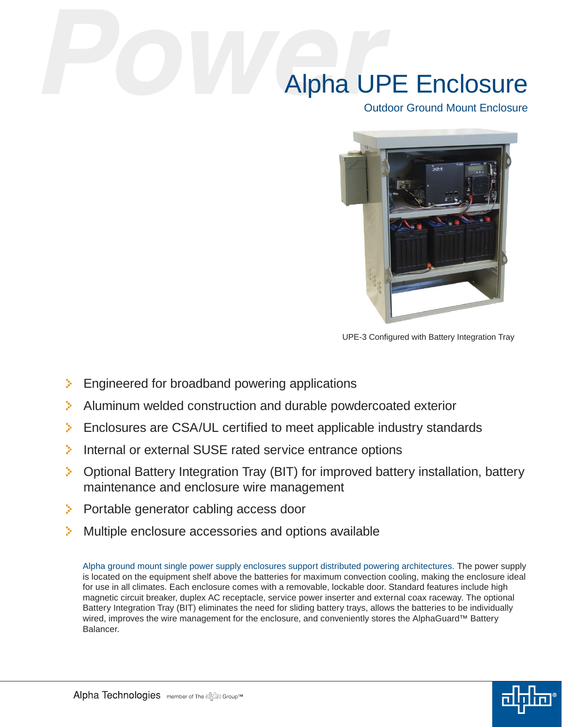## Alpha UPE Enclosure

Outdoor Ground Mount Enclosure



UPE-3 Configured with Battery Integration Tray

- $\geq$  Engineered for broadband powering applications
- Aluminum welded construction and durable powdercoated exterior
- $\triangleright$  Enclosures are CSA/UL certified to meet applicable industry standards
- Internal or external SUSE rated service entrance options
- **C** Optional Battery Integration Tray (BIT) for improved battery installation, battery maintenance and enclosure wire management
- **Portable generator cabling access door**
- **Multiple enclosure accessories and options available**

Alpha ground mount single power supply enclosures support distributed powering architectures. The power supply is located on the equipment shelf above the batteries for maximum convection cooling, making the enclosure ideal for use in all climates. Each enclosure comes with a removable, lockable door. Standard features include high magnetic circuit breaker, duplex AC receptacle, service power inserter and external coax raceway. The optional Battery Integration Tray (BIT) eliminates the need for sliding battery trays, allows the batteries to be individually wired, improves the wire management for the enclosure, and conveniently stores the AlphaGuard™ Battery Balancer.